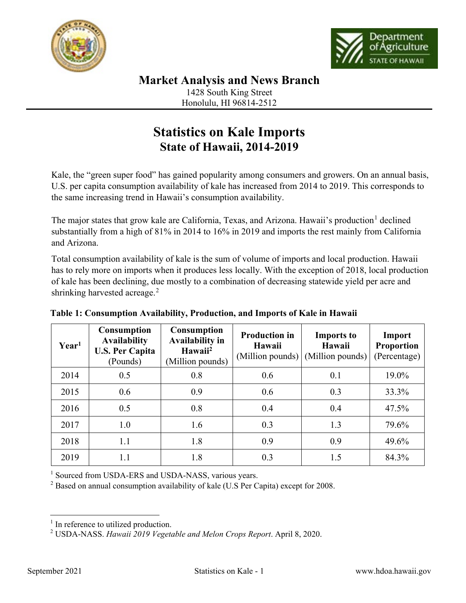



**Market Analysis and News Branch**

1428 South King Street Honolulu, HI 96814-2512

## **Statistics on Kale Imports State of Hawaii, 2014-2019**

Kale, the "green super food" has gained popularity among consumers and growers. On an annual basis, U.S. per capita consumption availability of kale has increased from 2014 to 2019. This corresponds to the same increasing trend in Hawaii's consumption availability.

The major states that grow kale are California, Texas, and Arizona. Hawaii's production<sup>[1](#page-0-0)</sup> declined substantially from a high of 81% in 2014 to 16% in 2019 and imports the rest mainly from California and Arizona.

Total consumption availability of kale is the sum of volume of imports and local production. Hawaii has to rely more on imports when it produces less locally. With the exception of 2018, local production of kale has been declining, due mostly to a combination of decreasing statewide yield per acre and shrinking harvested acreage.<sup>[2](#page-0-1)</sup>

| Year <sup>1</sup> | <b>Consumption</b><br><b>Availability</b><br><b>U.S. Per Capita</b><br>(Pounds) | <b>Consumption</b><br><b>Availability in</b><br>Hawaii <sup>2</sup><br>(Million pounds) | <b>Production in</b><br>Hawaii<br>(Million pounds) | <b>Imports to</b><br>Hawaii<br>(Million pounds) | Import<br><b>Proportion</b><br>(Percentage) |
|-------------------|---------------------------------------------------------------------------------|-----------------------------------------------------------------------------------------|----------------------------------------------------|-------------------------------------------------|---------------------------------------------|
| 2014              | 0.5                                                                             | 0.8                                                                                     | 0.6                                                | 0.1                                             | 19.0%                                       |
| 2015              | 0.6                                                                             | 0.9                                                                                     | 0.6                                                | 0.3                                             | 33.3%                                       |
| 2016              | 0.5                                                                             | 0.8                                                                                     | 0.4                                                | 0.4                                             | 47.5%                                       |
| 2017              | 1.0                                                                             | 1.6                                                                                     | 0.3                                                | 1.3                                             | 79.6%                                       |
| 2018              | 1.1                                                                             | 1.8                                                                                     | 0.9                                                | 0.9                                             | 49.6%                                       |
| 2019              | 1.1                                                                             | 1.8                                                                                     | 0.3                                                | 1.5                                             | 84.3%                                       |

## **Table 1: Consumption Availability, Production, and Imports of Kale in Hawaii**

<sup>1</sup> Sourced from USDA-ERS and USDA-NASS, various years.<br><sup>2</sup> Based on annual consumption availability of kale (U.S Per Capita) except for 2008.

<span id="page-0-0"></span> $<sup>1</sup>$  In reference to utilized production.</sup>

<span id="page-0-1"></span><sup>2</sup> USDA-NASS. *Hawaii 2019 Vegetable and Melon Crops Report*. April 8, 2020.